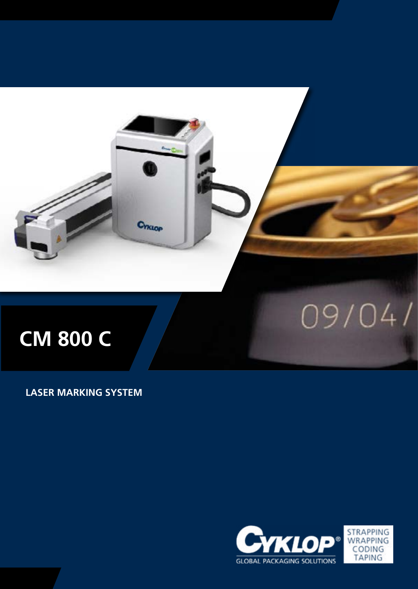

**LASER MARKING SYSTEM**

**Chicap** 



09/04/